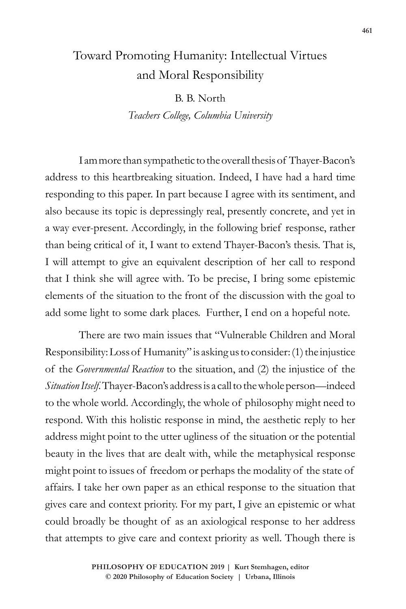## Toward Promoting Humanity: Intellectual Virtues and Moral Responsibility

B. B. North *Teachers College, Columbia University*

I am more than sympathetic to the overall thesis of Thayer-Bacon's address to this heartbreaking situation. Indeed, I have had a hard time responding to this paper. In part because I agree with its sentiment, and also because its topic is depressingly real, presently concrete, and yet in a way ever-present. Accordingly, in the following brief response, rather than being critical of it, I want to extend Thayer-Bacon's thesis. That is, I will attempt to give an equivalent description of her call to respond that I think she will agree with. To be precise, I bring some epistemic elements of the situation to the front of the discussion with the goal to add some light to some dark places. Further, I end on a hopeful note.

There are two main issues that "Vulnerable Children and Moral Responsibility: Loss of Humanity" is asking us to consider: (1) the injustice of the *Governmental Reaction* to the situation, and (2) the injustice of the *Situation Itself*. Thayer-Bacon's address is a call to the whole person—indeed to the whole world. Accordingly, the whole of philosophy might need to respond. With this holistic response in mind, the aesthetic reply to her address might point to the utter ugliness of the situation or the potential beauty in the lives that are dealt with, while the metaphysical response might point to issues of freedom or perhaps the modality of the state of affairs. I take her own paper as an ethical response to the situation that gives care and context priority. For my part, I give an epistemic or what could broadly be thought of as an axiological response to her address that attempts to give care and context priority as well. Though there is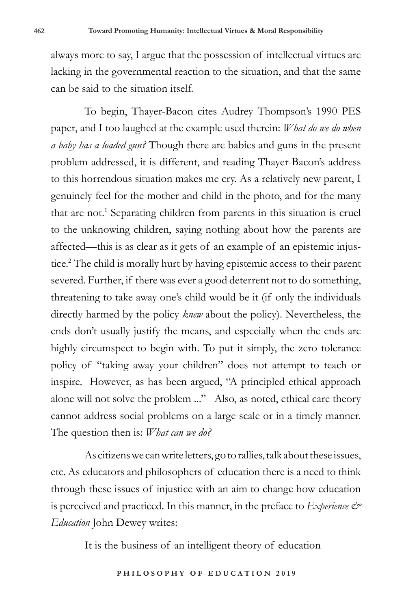always more to say, I argue that the possession of intellectual virtues are lacking in the governmental reaction to the situation, and that the same can be said to the situation itself.

To begin, Thayer-Bacon cites Audrey Thompson's 1990 PES paper, and I too laughed at the example used therein: *What do we do when a baby has a loaded gun?* Though there are babies and guns in the present problem addressed, it is different, and reading Thayer-Bacon's address to this horrendous situation makes me cry. As a relatively new parent, I genuinely feel for the mother and child in the photo, and for the many that are not.<sup>1</sup> Separating children from parents in this situation is cruel to the unknowing children, saying nothing about how the parents are affected—this is as clear as it gets of an example of an epistemic injustice.2 The child is morally hurt by having epistemic access to their parent severed. Further, if there was ever a good deterrent not to do something, threatening to take away one's child would be it (if only the individuals directly harmed by the policy *knew* about the policy). Nevertheless, the ends don't usually justify the means, and especially when the ends are highly circumspect to begin with. To put it simply, the zero tolerance policy of "taking away your children" does not attempt to teach or inspire. However, as has been argued, "A principled ethical approach alone will not solve the problem ..." Also, as noted, ethical care theory cannot address social problems on a large scale or in a timely manner. The question then is: *What can we do?* 

As citizens we can write letters, go to rallies, talk about these issues, etc. As educators and philosophers of education there is a need to think through these issues of injustice with an aim to change how education is perceived and practiced. In this manner, in the preface to *Experience & Education* John Dewey writes:

It is the business of an intelligent theory of education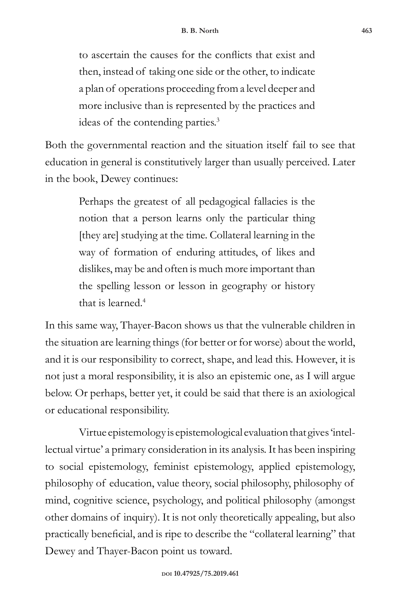to ascertain the causes for the conflicts that exist and then, instead of taking one side or the other, to indicate a plan of operations proceeding from a level deeper and more inclusive than is represented by the practices and ideas of the contending parties.3

Both the governmental reaction and the situation itself fail to see that education in general is constitutively larger than usually perceived. Later in the book, Dewey continues:

> Perhaps the greatest of all pedagogical fallacies is the notion that a person learns only the particular thing [they are] studying at the time. Collateral learning in the way of formation of enduring attitudes, of likes and dislikes, may be and often is much more important than the spelling lesson or lesson in geography or history that is learned. $4$

In this same way, Thayer-Bacon shows us that the vulnerable children in the situation are learning things (for better or for worse) about the world, and it is our responsibility to correct, shape, and lead this. However, it is not just a moral responsibility, it is also an epistemic one, as I will argue below. Or perhaps, better yet, it could be said that there is an axiological or educational responsibility.

Virtue epistemology is epistemological evaluation that gives 'intellectual virtue' a primary consideration in its analysis. It has been inspiring to social epistemology, feminist epistemology, applied epistemology, philosophy of education, value theory, social philosophy, philosophy of mind, cognitive science, psychology, and political philosophy (amongst other domains of inquiry). It is not only theoretically appealing, but also practically beneficial, and is ripe to describe the "collateral learning" that Dewey and Thayer-Bacon point us toward.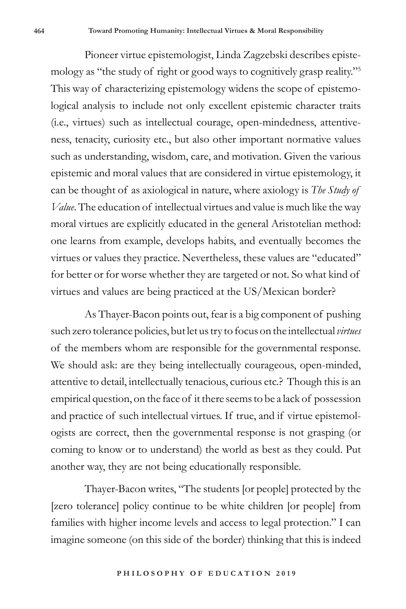Pioneer virtue epistemologist, Linda Zagzebski describes epistemology as "the study of right or good ways to cognitively grasp reality."5 This way of characterizing epistemology widens the scope of epistemological analysis to include not only excellent epistemic character traits (i.e., virtues) such as intellectual courage, open-mindedness, attentiveness, tenacity, curiosity etc., but also other important normative values such as understanding, wisdom, care, and motivation. Given the various epistemic and moral values that are considered in virtue epistemology, it can be thought of as axiological in nature, where axiology is *The Study of Value*. The education of intellectual virtues and value is much like the way moral virtues are explicitly educated in the general Aristotelian method: one learns from example, develops habits, and eventually becomes the virtues or values they practice. Nevertheless, these values are "educated" for better or for worse whether they are targeted or not. So what kind of virtues and values are being practiced at the US/Mexican border?

As Thayer-Bacon points out, fear is a big component of pushing such zero tolerance policies, but let us try to focus on the intellectual *virtues* of the members whom are responsible for the governmental response. We should ask: are they being intellectually courageous, open-minded, attentive to detail, intellectually tenacious, curious etc.? Though this is an empirical question, on the face of it there seems to be a lack of possession and practice of such intellectual virtues. If true, and if virtue epistemologists are correct, then the governmental response is not grasping (or coming to know or to understand) the world as best as they could. Put another way, they are not being educationally responsible.

Thayer-Bacon writes, "The students [or people] protected by the [zero tolerance] policy continue to be white children [or people] from families with higher income levels and access to legal protection." I can imagine someone (on this side of the border) thinking that this is indeed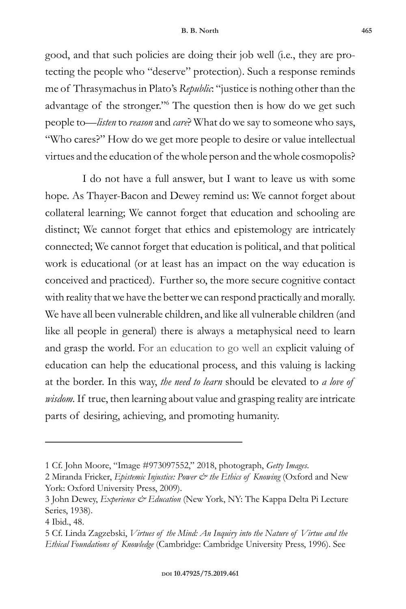good, and that such policies are doing their job well (i.e., they are protecting the people who "deserve" protection). Such a response reminds me of Thrasymachus in Plato's *Republic*: "justice is nothing other than the advantage of the stronger."<sup>6</sup> The question then is how do we get such people to—*listen* to *reason* and *care*? What do we say to someone who says, "Who cares?" How do we get more people to desire or value intellectual virtues and the education of the whole person and the whole cosmopolis?

 I do not have a full answer, but I want to leave us with some hope. As Thayer-Bacon and Dewey remind us: We cannot forget about collateral learning; We cannot forget that education and schooling are distinct; We cannot forget that ethics and epistemology are intricately connected; We cannot forget that education is political, and that political work is educational (or at least has an impact on the way education is conceived and practiced). Further so, the more secure cognitive contact with reality that we have the better we can respond practically and morally. We have all been vulnerable children, and like all vulnerable children (and like all people in general) there is always a metaphysical need to learn and grasp the world. For an education to go well an explicit valuing of education can help the educational process, and this valuing is lacking at the border. In this way, *the need to learn* should be elevated to *a love of wisdom.* If true, then learning about value and grasping reality are intricate parts of desiring, achieving, and promoting humanity.

<sup>1</sup> Cf. John Moore, "Image #973097552," 2018, photograph, *Getty Images*.

<sup>2</sup> Miranda Fricker, *Epistemic Injustice: Power & the Ethics of Knowing* (Oxford and New York: Oxford University Press, 2009).

<sup>3</sup> John Dewey, *Experience & Education* (New York, NY: The Kappa Delta Pi Lecture Series, 1938).

<sup>4</sup> Ibid., 48.

<sup>5</sup> Cf. Linda Zagzebski, *Virtues of the Mind: An Inquiry into the Nature of Virtue and the Ethical Foundations of Knowledge* (Cambridge: Cambridge University Press, 1996). See